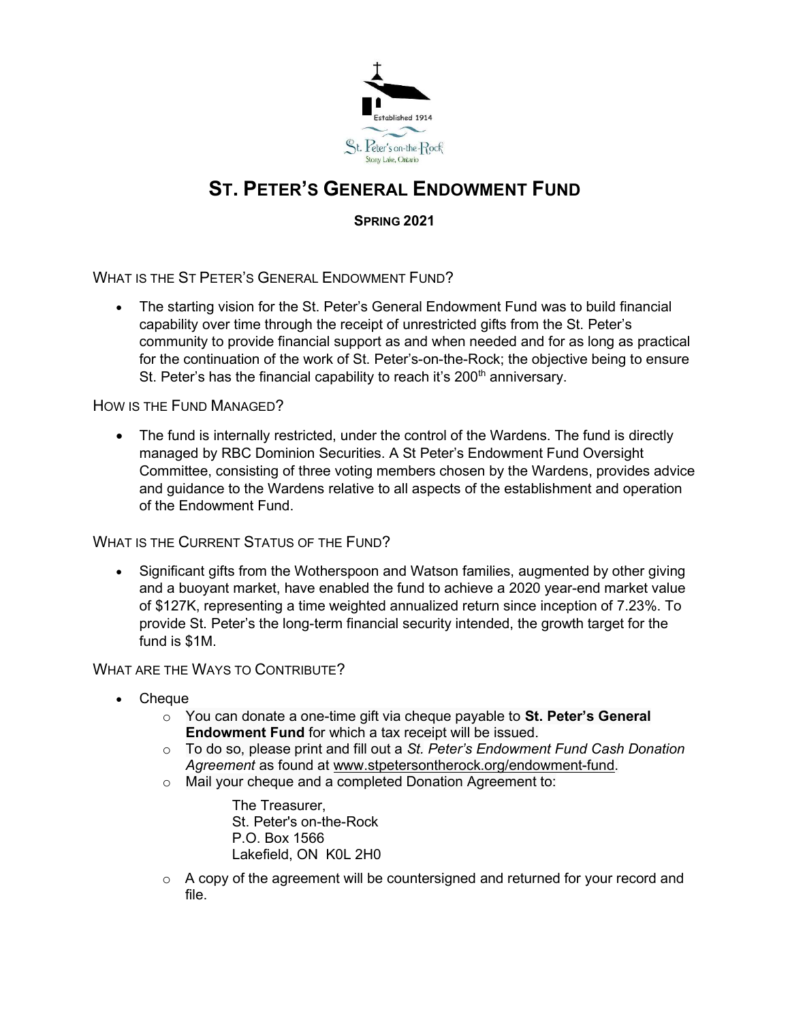

## ST. PETER'S GENERAL ENDOWMENT FUND

SPRING 2021

WHAT IS THE ST PETER'S GENERAL ENDOWMENT FUND?

 The starting vision for the St. Peter's General Endowment Fund was to build financial capability over time through the receipt of unrestricted gifts from the St. Peter's community to provide financial support as and when needed and for as long as practical for the continuation of the work of St. Peter's-on-the-Rock; the objective being to ensure St. Peter's has the financial capability to reach it's 200<sup>th</sup> anniversary.

## HOW IS THE FUND MANAGED?

• The fund is internally restricted, under the control of the Wardens. The fund is directly managed by RBC Dominion Securities. A St Peter's Endowment Fund Oversight Committee, consisting of three voting members chosen by the Wardens, provides advice and guidance to the Wardens relative to all aspects of the establishment and operation of the Endowment Fund.

WHAT IS THE CURRENT STATUS OF THE FUND?

 Significant gifts from the Wotherspoon and Watson families, augmented by other giving and a buoyant market, have enabled the fund to achieve a 2020 year-end market value of \$127K, representing a time weighted annualized return since inception of 7.23%. To provide St. Peter's the long-term financial security intended, the growth target for the fund is \$1M.

## WHAT ARE THE WAYS TO CONTRIBUTE?

- Cheque
	- $\circ$  You can donate a one-time gift via cheque payable to St. Peter's General Endowment Fund for which a tax receipt will be issued.
	- o To do so, please print and fill out a St. Peter's Endowment Fund Cash Donation Agreement as found at www.stpetersontherock.org/endowment-fund.
	- o Mail your cheque and a completed Donation Agreement to:

The Treasurer, St. Peter's on-the-Rock P.O. Box 1566 Lakefield, ON K0L 2H0

 $\circ$  A copy of the agreement will be countersigned and returned for your record and file.